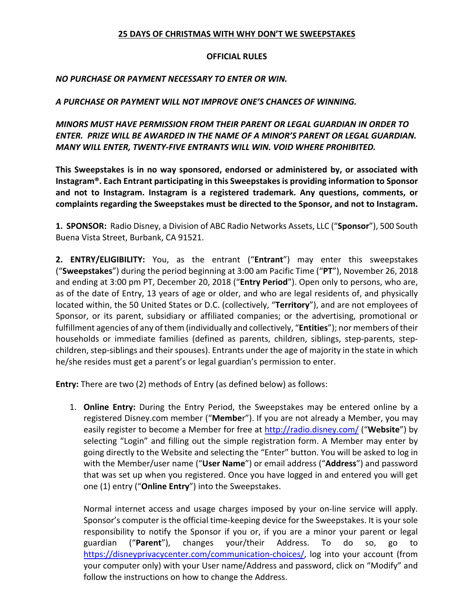#### **25 DAYS OF CHRISTMAS WITH WHY DON'T WE SWEEPSTAKES**

#### **OFFICIAL RULES**

### *NO PURCHASE OR PAYMENT NECESSARY TO ENTER OR WIN.*

## *A PURCHASE OR PAYMENT WILL NOT IMPROVE ONE'S CHANCES OF WINNING.*

*MINORS MUST HAVE PERMISSION FROM THEIR PARENT OR LEGAL GUARDIAN IN ORDER TO ENTER. PRIZE WILL BE AWARDED IN THE NAME OF A MINOR'S PARENT OR LEGAL GUARDIAN. MANY WILL ENTER, TWENTY-FIVE ENTRANTS WILL WIN. VOID WHERE PROHIBITED.*

**This Sweepstakes is in no way sponsored, endorsed or administered by, or associated with Instagram®. Each Entrant participating in this Sweepstakes is providing information to Sponsor and not to Instagram. Instagram is a registered trademark. Any questions, comments, or complaints regarding the Sweepstakes must be directed to the Sponsor, and not to Instagram.**

**1. SPONSOR:** Radio Disney, a Division of ABC Radio Networks Assets, LLC ("**Sponsor**"), 500 South Buena Vista Street, Burbank, CA 91521.

**2. ENTRY/ELIGIBILITY:** You, as the entrant ("**Entrant**") may enter this sweepstakes ("**Sweepstakes**") during the period beginning at 3:00 am Pacific Time ("**PT**"), November 26, 2018 and ending at 3:00 pm PT, December 20, 2018 ("**Entry Period**"). Open only to persons, who are, as of the date of Entry, 13 years of age or older, and who are legal residents of, and physically located within, the 50 United States or D.C. (collectively, "**Territory**"), and are not employees of Sponsor, or its parent, subsidiary or affiliated companies; or the advertising, promotional or fulfillment agencies of any of them (individually and collectively, "**Entities**"); nor members of their households or immediate families (defined as parents, children, siblings, step-parents, stepchildren, step-siblings and their spouses). Entrants under the age of majority in the state in which he/she resides must get a parent's or legal guardian's permission to enter.

**Entry:** There are two (2) methods of Entry (as defined below) as follows:

1. **Online Entry:** During the Entry Period, the Sweepstakes may be entered online by a registered Disney.com member ("**Membe**r"). If you are not already a Member, you may easily register to become a Member for free at http://radio.disney.com/ ("Website") by selecting "Login" and filling out the simple registration form. A Member may enter by going directly to the Website and selecting the "Enter" button. You will be asked to log in with the Member/user name ("**User Name**") or email address ("**Address**") and password that was set up when you registered. Once you have logged in and entered you will get one (1) entry ("**Online Entry**") into the Sweepstakes.

Normal internet access and usage charges imposed by your on-line service will apply. Sponsor's computer is the official time-keeping device for the Sweepstakes. It is your sole responsibility to notify the Sponsor if you or, if you are a minor your parent or legal guardian ("Parent"), changes your/their Address. To do so, go https://disneyprivacycenter.com/communication-choices/, log into your account (from your computer only) with your User name/Address and password, click on "Modify" and follow the instructions on how to change the Address.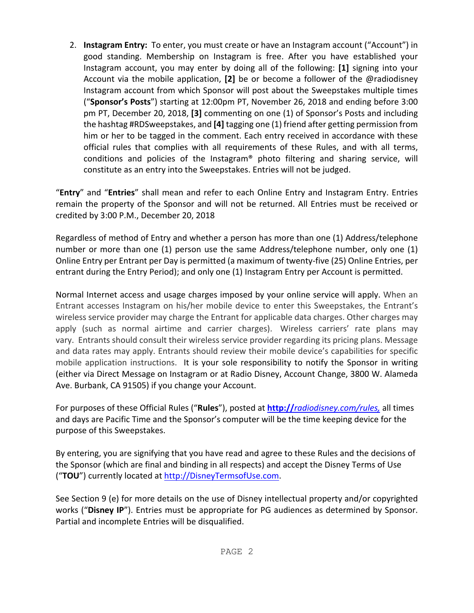2. **Instagram Entry:** To enter, you must create or have an Instagram account ("Account") in good standing. Membership on Instagram is free. After you have established your Instagram account, you may enter by doing all of the following: **[1]** signing into your Account via the mobile application, **[2]** be or become a follower of the @radiodisney Instagram account from which Sponsor will post about the Sweepstakes multiple times ("**Sponsor's Posts**") starting at 12:00pm PT, November 26, 2018 and ending before 3:00 pm PT, December 20, 2018, **[3]** commenting on one (1) of Sponsor's Posts and including the hashtag #RDSweepstakes, and **[4]** tagging one (1) friend after getting permission from him or her to be tagged in the comment. Each entry received in accordance with these official rules that complies with all requirements of these Rules, and with all terms, conditions and policies of the Instagram® photo filtering and sharing service, will constitute as an entry into the Sweepstakes. Entries will not be judged.

"**Entry**" and "**Entries**" shall mean and refer to each Online Entry and Instagram Entry. Entries remain the property of the Sponsor and will not be returned. All Entries must be received or credited by 3:00 P.M., December 20, 2018

Regardless of method of Entry and whether a person has more than one (1) Address/telephone number or more than one (1) person use the same Address/telephone number, only one (1) Online Entry per Entrant per Day is permitted (a maximum of twenty-five (25) Online Entries, per entrant during the Entry Period); and only one (1) Instagram Entry per Account is permitted.

Normal Internet access and usage charges imposed by your online service will apply. When an Entrant accesses Instagram on his/her mobile device to enter this Sweepstakes, the Entrant's wireless service provider may charge the Entrant for applicable data charges. Other charges may apply (such as normal airtime and carrier charges). Wireless carriers' rate plans may vary. Entrants should consult their wireless service provider regarding its pricing plans. Message and data rates may apply. Entrants should review their mobile device's capabilities for specific mobile application instructions. It is your sole responsibility to notify the Sponsor in writing (either via Direct Message on Instagram or at Radio Disney, Account Change, 3800 W. Alameda Ave. Burbank, CA 91505) if you change your Account.

For purposes of these Official Rules ("**Rules**"), posted at **http://***radiodisney.com/rules,* all times and days are Pacific Time and the Sponsor's computer will be the time keeping device for the purpose of this Sweepstakes.

By entering, you are signifying that you have read and agree to these Rules and the decisions of the Sponsor (which are final and binding in all respects) and accept the Disney Terms of Use ("**TOU**") currently located at http://DisneyTermsofUse.com.

See Section 9 (e) for more details on the use of Disney intellectual property and/or copyrighted works ("**Disney IP**"). Entries must be appropriate for PG audiences as determined by Sponsor. Partial and incomplete Entries will be disqualified.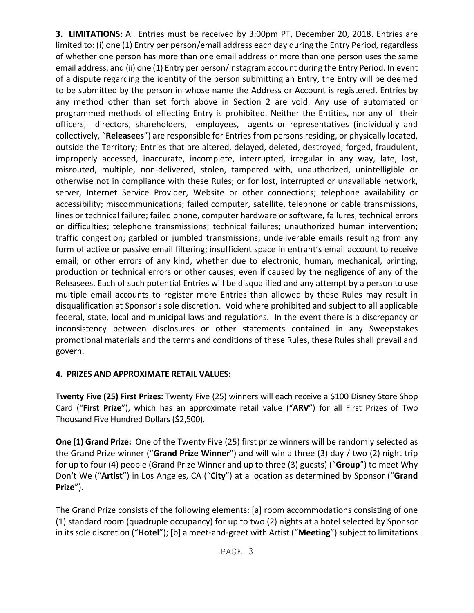**3. LIMITATIONS:** All Entries must be received by 3:00pm PT, December 20, 2018. Entries are limited to: (i) one (1) Entry per person/email address each day during the Entry Period, regardless of whether one person has more than one email address or more than one person uses the same email address, and (ii) one (1) Entry per person/Instagram account during the Entry Period. In event of a dispute regarding the identity of the person submitting an Entry, the Entry will be deemed to be submitted by the person in whose name the Address or Account is registered. Entries by any method other than set forth above in Section 2 are void. Any use of automated or programmed methods of effecting Entry is prohibited. Neither the Entities, nor any of their officers, directors, shareholders, employees, agents or representatives (individually and collectively, "**Releasees**") are responsible for Entries from persons residing, or physically located, outside the Territory; Entries that are altered, delayed, deleted, destroyed, forged, fraudulent, improperly accessed, inaccurate, incomplete, interrupted, irregular in any way, late, lost, misrouted, multiple, non-delivered, stolen, tampered with, unauthorized, unintelligible or otherwise not in compliance with these Rules; or for lost, interrupted or unavailable network, server, Internet Service Provider, Website or other connections; telephone availability or accessibility; miscommunications; failed computer, satellite, telephone or cable transmissions, lines or technical failure; failed phone, computer hardware or software, failures, technical errors or difficulties; telephone transmissions; technical failures; unauthorized human intervention; traffic congestion; garbled or jumbled transmissions; undeliverable emails resulting from any form of active or passive email filtering; insufficient space in entrant's email account to receive email; or other errors of any kind, whether due to electronic, human, mechanical, printing, production or technical errors or other causes; even if caused by the negligence of any of the Releasees. Each of such potential Entries will be disqualified and any attempt by a person to use multiple email accounts to register more Entries than allowed by these Rules may result in disqualification at Sponsor's sole discretion. Void where prohibited and subject to all applicable federal, state, local and municipal laws and regulations. In the event there is a discrepancy or inconsistency between disclosures or other statements contained in any Sweepstakes promotional materials and the terms and conditions of these Rules, these Rules shall prevail and govern.

# **4. PRIZES AND APPROXIMATE RETAIL VALUES:**

**Twenty Five (25) First Prizes:** Twenty Five (25) winners will each receive a \$100 Disney Store Shop Card ("**First Prize**"), which has an approximate retail value ("**ARV**") for all First Prizes of Two Thousand Five Hundred Dollars (\$2,500).

**One (1) Grand Prize:** One of the Twenty Five (25) first prize winners will be randomly selected as the Grand Prize winner ("**Grand Prize Winner**") and will win a three (3) day / two (2) night trip for up to four (4) people (Grand Prize Winner and up to three (3) guests) ("**Group**") to meet Why Don't We ("**Artist**") in Los Angeles, CA ("**City**") at a location as determined by Sponsor ("**Grand Prize**").

The Grand Prize consists of the following elements: [a] room accommodations consisting of one (1) standard room (quadruple occupancy) for up to two (2) nights at a hotel selected by Sponsor in its sole discretion ("**Hotel**"); [b] a meet-and-greet with Artist ("**Meeting**") subject to limitations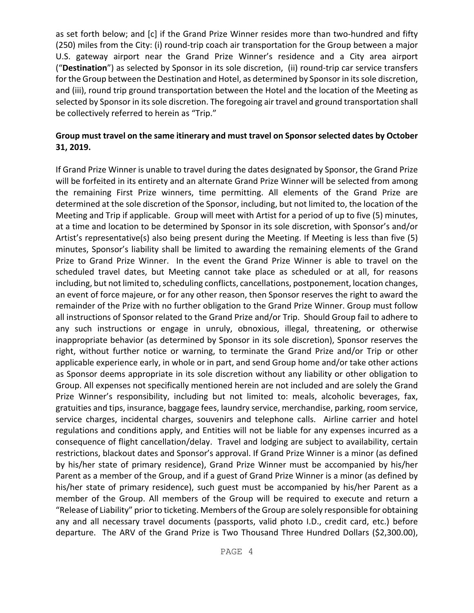as set forth below; and [c] if the Grand Prize Winner resides more than two-hundred and fifty (250) miles from the City: (i) round-trip coach air transportation for the Group between a major U.S. gateway airport near the Grand Prize Winner's residence and a City area airport ("**Destination**") as selected by Sponsor in its sole discretion, (ii) round-trip car service transfers for the Group between the Destination and Hotel, as determined by Sponsor in its sole discretion, and (iii), round trip ground transportation between the Hotel and the location of the Meeting as selected by Sponsor in its sole discretion. The foregoing air travel and ground transportation shall be collectively referred to herein as "Trip."

## **Group must travel on the same itinerary and must travel on Sponsor selected dates by October 31, 2019.**

If Grand Prize Winner is unable to travel during the dates designated by Sponsor, the Grand Prize will be forfeited in its entirety and an alternate Grand Prize Winner will be selected from among the remaining First Prize winners, time permitting. All elements of the Grand Prize are determined at the sole discretion of the Sponsor, including, but not limited to, the location of the Meeting and Trip if applicable. Group will meet with Artist for a period of up to five (5) minutes, at a time and location to be determined by Sponsor in its sole discretion, with Sponsor's and/or Artist's representative(s) also being present during the Meeting. If Meeting is less than five (5) minutes, Sponsor's liability shall be limited to awarding the remaining elements of the Grand Prize to Grand Prize Winner. In the event the Grand Prize Winner is able to travel on the scheduled travel dates, but Meeting cannot take place as scheduled or at all, for reasons including, but not limited to, scheduling conflicts, cancellations, postponement, location changes, an event of force majeure, or for any other reason, then Sponsor reserves the right to award the remainder of the Prize with no further obligation to the Grand Prize Winner. Group must follow all instructions of Sponsor related to the Grand Prize and/or Trip. Should Group fail to adhere to any such instructions or engage in unruly, obnoxious, illegal, threatening, or otherwise inappropriate behavior (as determined by Sponsor in its sole discretion), Sponsor reserves the right, without further notice or warning, to terminate the Grand Prize and/or Trip or other applicable experience early, in whole or in part, and send Group home and/or take other actions as Sponsor deems appropriate in its sole discretion without any liability or other obligation to Group. All expenses not specifically mentioned herein are not included and are solely the Grand Prize Winner's responsibility, including but not limited to: meals, alcoholic beverages, fax, gratuities and tips, insurance, baggage fees, laundry service, merchandise, parking, room service, service charges, incidental charges, souvenirs and telephone calls. Airline carrier and hotel regulations and conditions apply, and Entities will not be liable for any expenses incurred as a consequence of flight cancellation/delay. Travel and lodging are subject to availability, certain restrictions, blackout dates and Sponsor's approval. If Grand Prize Winner is a minor (as defined by his/her state of primary residence), Grand Prize Winner must be accompanied by his/her Parent as a member of the Group, and if a guest of Grand Prize Winner is a minor (as defined by his/her state of primary residence), such guest must be accompanied by his/her Parent as a member of the Group. All members of the Group will be required to execute and return a "Release of Liability" prior to ticketing. Members of the Group are solely responsible for obtaining any and all necessary travel documents (passports, valid photo I.D., credit card, etc.) before departure. The ARV of the Grand Prize is Two Thousand Three Hundred Dollars (\$2,300.00),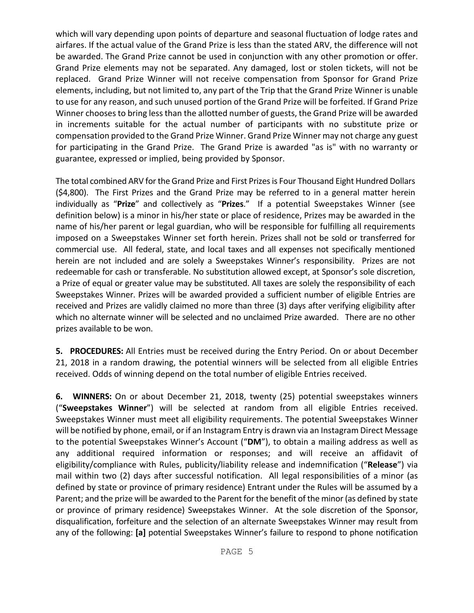which will vary depending upon points of departure and seasonal fluctuation of lodge rates and airfares. If the actual value of the Grand Prize is less than the stated ARV, the difference will not be awarded. The Grand Prize cannot be used in conjunction with any other promotion or offer. Grand Prize elements may not be separated. Any damaged, lost or stolen tickets, will not be replaced. Grand Prize Winner will not receive compensation from Sponsor for Grand Prize elements, including, but not limited to, any part of the Trip that the Grand Prize Winner is unable to use for any reason, and such unused portion of the Grand Prize will be forfeited. If Grand Prize Winner chooses to bring less than the allotted number of guests, the Grand Prize will be awarded in increments suitable for the actual number of participants with no substitute prize or compensation provided to the Grand Prize Winner. Grand Prize Winner may not charge any guest for participating in the Grand Prize. The Grand Prize is awarded "as is" with no warranty or guarantee, expressed or implied, being provided by Sponsor.

The total combined ARV for the Grand Prize and First Prizes is Four Thousand Eight Hundred Dollars (\$4,800). The First Prizes and the Grand Prize may be referred to in a general matter herein individually as "**Prize**" and collectively as "**Prizes**." If a potential Sweepstakes Winner (see definition below) is a minor in his/her state or place of residence, Prizes may be awarded in the name of his/her parent or legal guardian, who will be responsible for fulfilling all requirements imposed on a Sweepstakes Winner set forth herein. Prizes shall not be sold or transferred for commercial use. All federal, state, and local taxes and all expenses not specifically mentioned herein are not included and are solely a Sweepstakes Winner's responsibility. Prizes are not redeemable for cash or transferable. No substitution allowed except, at Sponsor's sole discretion, a Prize of equal or greater value may be substituted. All taxes are solely the responsibility of each Sweepstakes Winner. Prizes will be awarded provided a sufficient number of eligible Entries are received and Prizes are validly claimed no more than three (3) days after verifying eligibility after which no alternate winner will be selected and no unclaimed Prize awarded. There are no other prizes available to be won.

**5. PROCEDURES:** All Entries must be received during the Entry Period. On or about December 21, 2018 in a random drawing, the potential winners will be selected from all eligible Entries received. Odds of winning depend on the total number of eligible Entries received.

**6. WINNERS:** On or about December 21, 2018, twenty (25) potential sweepstakes winners ("**Sweepstakes Winner**") will be selected at random from all eligible Entries received. Sweepstakes Winner must meet all eligibility requirements. The potential Sweepstakes Winner will be notified by phone, email, or if an Instagram Entry is drawn via an Instagram Direct Message to the potential Sweepstakes Winner's Account ("**DM**"), to obtain a mailing address as well as any additional required information or responses; and will receive an affidavit of eligibility/compliance with Rules, publicity/liability release and indemnification ("**Release**") via mail within two (2) days after successful notification. All legal responsibilities of a minor (as defined by state or province of primary residence) Entrant under the Rules will be assumed by a Parent; and the prize will be awarded to the Parent for the benefit of the minor (as defined by state or province of primary residence) Sweepstakes Winner. At the sole discretion of the Sponsor, disqualification, forfeiture and the selection of an alternate Sweepstakes Winner may result from any of the following: **[a]** potential Sweepstakes Winner's failure to respond to phone notification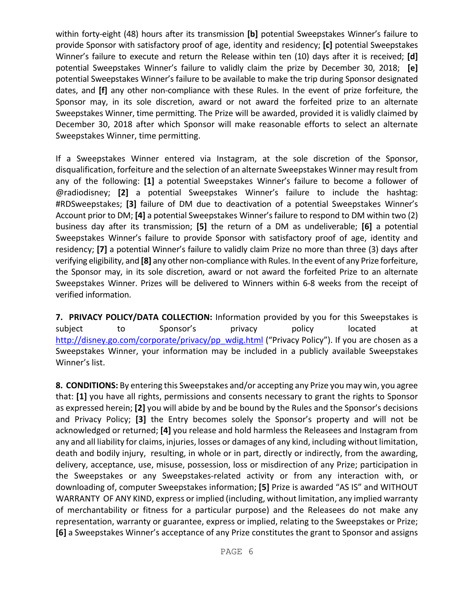within forty-eight (48) hours after its transmission **[b]** potential Sweepstakes Winner's failure to provide Sponsor with satisfactory proof of age, identity and residency; **[c]** potential Sweepstakes Winner's failure to execute and return the Release within ten (10) days after it is received; **[d]**  potential Sweepstakes Winner's failure to validly claim the prize by December 30, 2018; **[e]**  potential Sweepstakes Winner's failure to be available to make the trip during Sponsor designated dates, and **[f]** any other non-compliance with these Rules. In the event of prize forfeiture, the Sponsor may, in its sole discretion, award or not award the forfeited prize to an alternate Sweepstakes Winner, time permitting. The Prize will be awarded, provided it is validly claimed by December 30, 2018 after which Sponsor will make reasonable efforts to select an alternate Sweepstakes Winner, time permitting.

If a Sweepstakes Winner entered via Instagram, at the sole discretion of the Sponsor, disqualification, forfeiture and the selection of an alternate Sweepstakes Winner may result from any of the following: **[1]** a potential Sweepstakes Winner's failure to become a follower of @radiodisney; **[2]** a potential Sweepstakes Winner's failure to include the hashtag: #RDSweepstakes; **[3]** failure of DM due to deactivation of a potential Sweepstakes Winner's Account prior to DM; **[4]** a potential Sweepstakes Winner's failure to respond to DM within two (2) business day after its transmission; **[5]** the return of a DM as undeliverable; **[6]** a potential Sweepstakes Winner's failure to provide Sponsor with satisfactory proof of age, identity and residency; **[7]** a potential Winner's failure to validly claim Prize no more than three (3) days after verifying eligibility, and **[8]** any other non-compliance with Rules. In the event of any Prize forfeiture, the Sponsor may, in its sole discretion, award or not award the forfeited Prize to an alternate Sweepstakes Winner. Prizes will be delivered to Winners within 6-8 weeks from the receipt of verified information.

**7. PRIVACY POLICY/DATA COLLECTION:** Information provided by you for this Sweepstakes is subject to Sponsor's privacy policy located at http://disney.go.com/corporate/privacy/pp\_wdig.html ("Privacy Policy"). If you are chosen as a Sweepstakes Winner, your information may be included in a publicly available Sweepstakes Winner's list.

**8. CONDITIONS:** By entering this Sweepstakes and/or accepting any Prize you may win, you agree that: **[1]** you have all rights, permissions and consents necessary to grant the rights to Sponsor as expressed herein; **[2]** you will abide by and be bound by the Rules and the Sponsor's decisions and Privacy Policy; **[3]** the Entry becomes solely the Sponsor's property and will not be acknowledged or returned; **[4]** you release and hold harmless the Releasees and Instagram from any and all liability for claims, injuries, losses or damages of any kind, including without limitation, death and bodily injury, resulting, in whole or in part, directly or indirectly, from the awarding, delivery, acceptance, use, misuse, possession, loss or misdirection of any Prize; participation in the Sweepstakes or any Sweepstakes-related activity or from any interaction with, or downloading of, computer Sweepstakes information; **[5]** Prize is awarded "AS IS" and WITHOUT WARRANTY OF ANY KIND, express or implied (including, without limitation, any implied warranty of merchantability or fitness for a particular purpose) and the Releasees do not make any representation, warranty or guarantee, express or implied, relating to the Sweepstakes or Prize; **[6]** a Sweepstakes Winner's acceptance of any Prize constitutes the grant to Sponsor and assigns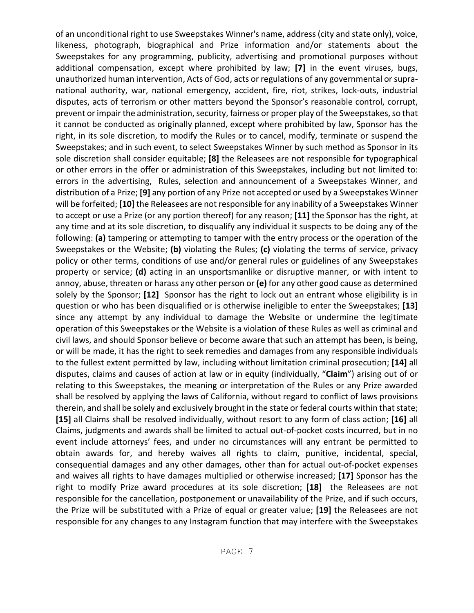of an unconditional right to use Sweepstakes Winner's name, address (city and state only), voice, likeness, photograph, biographical and Prize information and/or statements about the Sweepstakes for any programming, publicity, advertising and promotional purposes without additional compensation, except where prohibited by law; **[7]** in the event viruses, bugs, unauthorized human intervention, Acts of God, acts or regulations of any governmental or supranational authority, war, national emergency, accident, fire, riot, strikes, lock-outs, industrial disputes, acts of terrorism or other matters beyond the Sponsor's reasonable control, corrupt, prevent or impair the administration, security, fairness or proper play of the Sweepstakes, so that it cannot be conducted as originally planned, except where prohibited by law, Sponsor has the right, in its sole discretion, to modify the Rules or to cancel, modify, terminate or suspend the Sweepstakes; and in such event, to select Sweepstakes Winner by such method as Sponsor in its sole discretion shall consider equitable; **[8]** the Releasees are not responsible for typographical or other errors in the offer or administration of this Sweepstakes, including but not limited to: errors in the advertising, Rules, selection and announcement of a Sweepstakes Winner, and distribution of a Prize; **[9]** any portion of any Prize not accepted or used by a Sweepstakes Winner will be forfeited; **[10]** the Releasees are not responsible for any inability of a Sweepstakes Winner to accept or use a Prize (or any portion thereof) for any reason; **[11]** the Sponsor has the right, at any time and at its sole discretion, to disqualify any individual it suspects to be doing any of the following: **(a)** tampering or attempting to tamper with the entry process or the operation of the Sweepstakes or the Website; **(b)** violating the Rules; **(c)** violating the terms of service, privacy policy or other terms, conditions of use and/or general rules or guidelines of any Sweepstakes property or service; **(d)** acting in an unsportsmanlike or disruptive manner, or with intent to annoy, abuse, threaten or harass any other person or **(e)** for any other good cause as determined solely by the Sponsor; **[12]** Sponsor has the right to lock out an entrant whose eligibility is in question or who has been disqualified or is otherwise ineligible to enter the Sweepstakes; **[13]**  since any attempt by any individual to damage the Website or undermine the legitimate operation of this Sweepstakes or the Website is a violation of these Rules as well as criminal and civil laws, and should Sponsor believe or become aware that such an attempt has been, is being, or will be made, it has the right to seek remedies and damages from any responsible individuals to the fullest extent permitted by law, including without limitation criminal prosecution; **[14]** all disputes, claims and causes of action at law or in equity (individually, "**Claim**") arising out of or relating to this Sweepstakes, the meaning or interpretation of the Rules or any Prize awarded shall be resolved by applying the laws of California, without regard to conflict of laws provisions therein, and shall be solely and exclusively brought in the state or federal courts within that state; **[15]** all Claims shall be resolved individually, without resort to any form of class action; **[16]** all Claims, judgments and awards shall be limited to actual out-of-pocket costs incurred, but in no event include attorneys' fees, and under no circumstances will any entrant be permitted to obtain awards for, and hereby waives all rights to claim, punitive, incidental, special, consequential damages and any other damages, other than for actual out-of-pocket expenses and waives all rights to have damages multiplied or otherwise increased; **[17]** Sponsor has the right to modify Prize award procedures at its sole discretion; **[18]** the Releasees are not responsible for the cancellation, postponement or unavailability of the Prize, and if such occurs, the Prize will be substituted with a Prize of equal or greater value; **[19]** the Releasees are not responsible for any changes to any Instagram function that may interfere with the Sweepstakes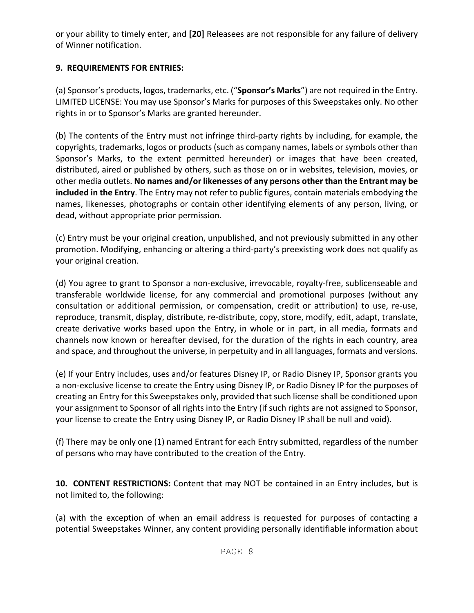or your ability to timely enter, and **[20]** Releasees are not responsible for any failure of delivery of Winner notification.

# **9. REQUIREMENTS FOR ENTRIES:**

(a) Sponsor's products, logos, trademarks, etc. ("**Sponsor's Marks**") are not required in the Entry. LIMITED LICENSE: You may use Sponsor's Marks for purposes of this Sweepstakes only. No other rights in or to Sponsor's Marks are granted hereunder.

(b) The contents of the Entry must not infringe third-party rights by including, for example, the copyrights, trademarks, logos or products (such as company names, labels or symbols other than Sponsor's Marks, to the extent permitted hereunder) or images that have been created, distributed, aired or published by others, such as those on or in websites, television, movies, or other media outlets. **No names and/or likenesses of any persons other than the Entrant may be included in the Entry**. The Entry may not refer to public figures, contain materials embodying the names, likenesses, photographs or contain other identifying elements of any person, living, or dead, without appropriate prior permission.

(c) Entry must be your original creation, unpublished, and not previously submitted in any other promotion. Modifying, enhancing or altering a third-party's preexisting work does not qualify as your original creation.

(d) You agree to grant to Sponsor a non-exclusive, irrevocable, royalty-free, sublicenseable and transferable worldwide license, for any commercial and promotional purposes (without any consultation or additional permission, or compensation, credit or attribution) to use, re-use, reproduce, transmit, display, distribute, re-distribute, copy, store, modify, edit, adapt, translate, create derivative works based upon the Entry, in whole or in part, in all media, formats and channels now known or hereafter devised, for the duration of the rights in each country, area and space, and throughout the universe, in perpetuity and in all languages, formats and versions.

(e) If your Entry includes, uses and/or features Disney IP, or Radio Disney IP, Sponsor grants you a non-exclusive license to create the Entry using Disney IP, or Radio Disney IP for the purposes of creating an Entry for this Sweepstakes only, provided that such license shall be conditioned upon your assignment to Sponsor of all rights into the Entry (if such rights are not assigned to Sponsor, your license to create the Entry using Disney IP, or Radio Disney IP shall be null and void).

(f) There may be only one (1) named Entrant for each Entry submitted, regardless of the number of persons who may have contributed to the creation of the Entry.

**10. CONTENT RESTRICTIONS:** Content that may NOT be contained in an Entry includes, but is not limited to, the following:

(a) with the exception of when an email address is requested for purposes of contacting a potential Sweepstakes Winner, any content providing personally identifiable information about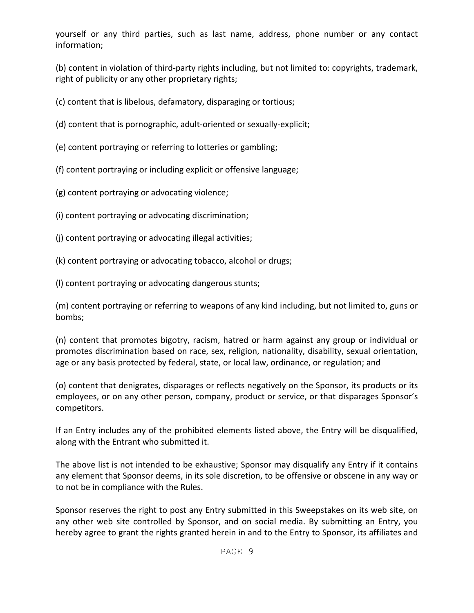yourself or any third parties, such as last name, address, phone number or any contact information;

(b) content in violation of third-party rights including, but not limited to: copyrights, trademark, right of publicity or any other proprietary rights;

(c) content that is libelous, defamatory, disparaging or tortious;

- (d) content that is pornographic, adult-oriented or sexually-explicit;
- (e) content portraying or referring to lotteries or gambling;
- (f) content portraying or including explicit or offensive language;
- (g) content portraying or advocating violence;
- (i) content portraying or advocating discrimination;
- (j) content portraying or advocating illegal activities;
- (k) content portraying or advocating tobacco, alcohol or drugs;
- (l) content portraying or advocating dangerous stunts;

(m) content portraying or referring to weapons of any kind including, but not limited to, guns or bombs;

(n) content that promotes bigotry, racism, hatred or harm against any group or individual or promotes discrimination based on race, sex, religion, nationality, disability, sexual orientation, age or any basis protected by federal, state, or local law, ordinance, or regulation; and

(o) content that denigrates, disparages or reflects negatively on the Sponsor, its products or its employees, or on any other person, company, product or service, or that disparages Sponsor's competitors.

If an Entry includes any of the prohibited elements listed above, the Entry will be disqualified, along with the Entrant who submitted it.

The above list is not intended to be exhaustive; Sponsor may disqualify any Entry if it contains any element that Sponsor deems, in its sole discretion, to be offensive or obscene in any way or to not be in compliance with the Rules.

Sponsor reserves the right to post any Entry submitted in this Sweepstakes on its web site, on any other web site controlled by Sponsor, and on social media. By submitting an Entry, you hereby agree to grant the rights granted herein in and to the Entry to Sponsor, its affiliates and